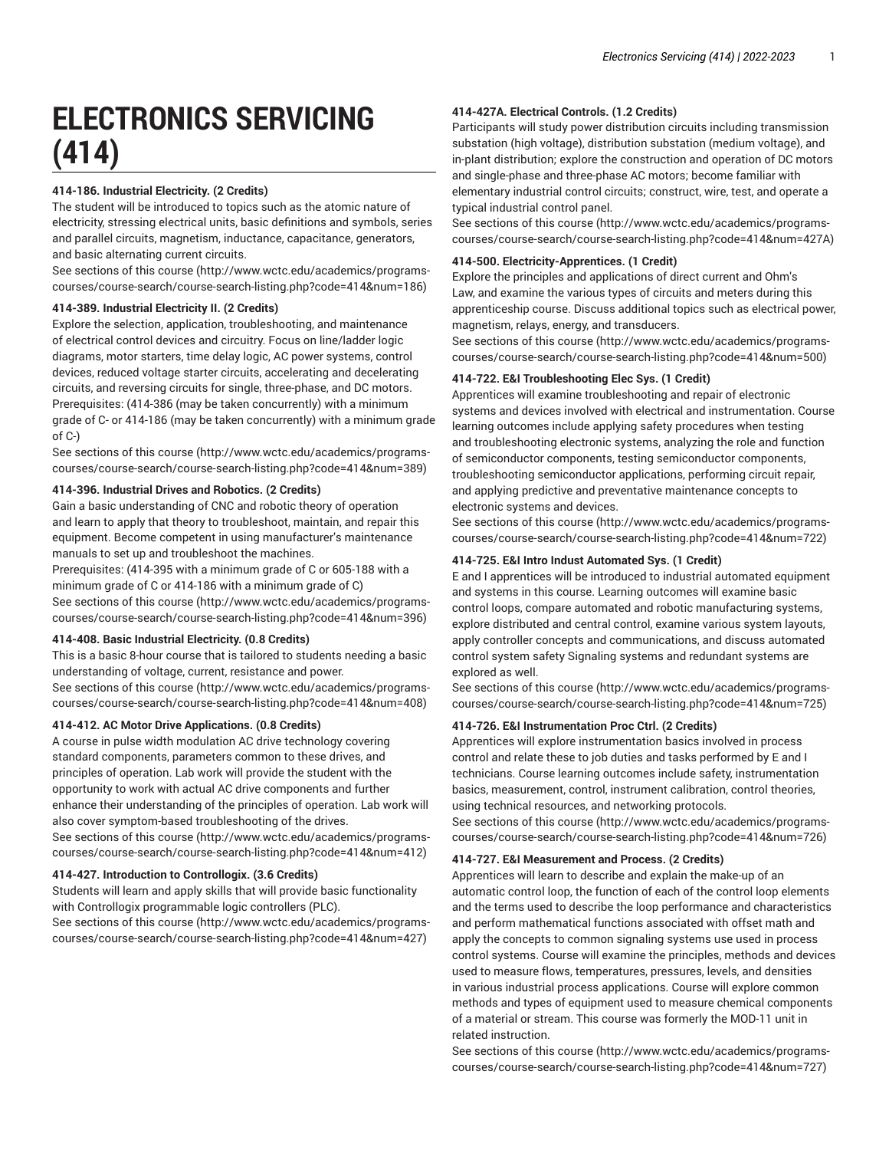# **ELECTRONICS SERVICING (414)**

# **414-186. Industrial Electricity. (2 Credits)**

The student will be introduced to topics such as the atomic nature of electricity, stressing electrical units, basic definitions and symbols, series and parallel circuits, magnetism, inductance, capacitance, generators, and basic alternating current circuits.

[See sections of this course](http://www.wctc.edu/academics/programs-courses/course-search/course-search-listing.php?code=414&num=186) ([http://www.wctc.edu/academics/programs](http://www.wctc.edu/academics/programs-courses/course-search/course-search-listing.php?code=414&num=186)[courses/course-search/course-search-listing.php?code=414&num=186](http://www.wctc.edu/academics/programs-courses/course-search/course-search-listing.php?code=414&num=186))

## **414-389. Industrial Electricity II. (2 Credits)**

Explore the selection, application, troubleshooting, and maintenance of electrical control devices and circuitry. Focus on line/ladder logic diagrams, motor starters, time delay logic, AC power systems, control devices, reduced voltage starter circuits, accelerating and decelerating circuits, and reversing circuits for single, three-phase, and DC motors. Prerequisites: (414-386 (may be taken concurrently) with a minimum grade of C- or 414-186 (may be taken concurrently) with a minimum grade of C-)

[See sections of this course](http://www.wctc.edu/academics/programs-courses/course-search/course-search-listing.php?code=414&num=389) ([http://www.wctc.edu/academics/programs](http://www.wctc.edu/academics/programs-courses/course-search/course-search-listing.php?code=414&num=389)[courses/course-search/course-search-listing.php?code=414&num=389](http://www.wctc.edu/academics/programs-courses/course-search/course-search-listing.php?code=414&num=389))

## **414-396. Industrial Drives and Robotics. (2 Credits)**

Gain a basic understanding of CNC and robotic theory of operation and learn to apply that theory to troubleshoot, maintain, and repair this equipment. Become competent in using manufacturer's maintenance manuals to set up and troubleshoot the machines.

Prerequisites: (414-395 with a minimum grade of C or 605-188 with a minimum grade of C or 414-186 with a minimum grade of C) [See sections of this course](http://www.wctc.edu/academics/programs-courses/course-search/course-search-listing.php?code=414&num=396) ([http://www.wctc.edu/academics/programs](http://www.wctc.edu/academics/programs-courses/course-search/course-search-listing.php?code=414&num=396)[courses/course-search/course-search-listing.php?code=414&num=396](http://www.wctc.edu/academics/programs-courses/course-search/course-search-listing.php?code=414&num=396))

#### **414-408. Basic Industrial Electricity. (0.8 Credits)**

This is a basic 8-hour course that is tailored to students needing a basic understanding of voltage, current, resistance and power.

[See sections of this course](http://www.wctc.edu/academics/programs-courses/course-search/course-search-listing.php?code=414&num=408) ([http://www.wctc.edu/academics/programs](http://www.wctc.edu/academics/programs-courses/course-search/course-search-listing.php?code=414&num=408)[courses/course-search/course-search-listing.php?code=414&num=408](http://www.wctc.edu/academics/programs-courses/course-search/course-search-listing.php?code=414&num=408))

# **414-412. AC Motor Drive Applications. (0.8 Credits)**

A course in pulse width modulation AC drive technology covering standard components, parameters common to these drives, and principles of operation. Lab work will provide the student with the opportunity to work with actual AC drive components and further enhance their understanding of the principles of operation. Lab work will also cover symptom-based troubleshooting of the drives.

[See sections of this course](http://www.wctc.edu/academics/programs-courses/course-search/course-search-listing.php?code=414&num=412) ([http://www.wctc.edu/academics/programs](http://www.wctc.edu/academics/programs-courses/course-search/course-search-listing.php?code=414&num=412)[courses/course-search/course-search-listing.php?code=414&num=412](http://www.wctc.edu/academics/programs-courses/course-search/course-search-listing.php?code=414&num=412))

## **414-427. Introduction to Controllogix. (3.6 Credits)**

Students will learn and apply skills that will provide basic functionality with Controllogix programmable logic controllers (PLC).

[See sections of this course](http://www.wctc.edu/academics/programs-courses/course-search/course-search-listing.php?code=414&num=427) ([http://www.wctc.edu/academics/programs](http://www.wctc.edu/academics/programs-courses/course-search/course-search-listing.php?code=414&num=427)[courses/course-search/course-search-listing.php?code=414&num=427](http://www.wctc.edu/academics/programs-courses/course-search/course-search-listing.php?code=414&num=427))

# **414-427A. Electrical Controls. (1.2 Credits)**

Participants will study power distribution circuits including transmission substation (high voltage), distribution substation (medium voltage), and in-plant distribution; explore the construction and operation of DC motors and single-phase and three-phase AC motors; become familiar with elementary industrial control circuits; construct, wire, test, and operate a typical industrial control panel.

[See sections of this course \(http://www.wctc.edu/academics/programs](http://www.wctc.edu/academics/programs-courses/course-search/course-search-listing.php?code=414&num=427A)[courses/course-search/course-search-listing.php?code=414&num=427A](http://www.wctc.edu/academics/programs-courses/course-search/course-search-listing.php?code=414&num=427A))

# **414-500. Electricity-Apprentices. (1 Credit)**

Explore the principles and applications of direct current and Ohm's Law, and examine the various types of circuits and meters during this apprenticeship course. Discuss additional topics such as electrical power, magnetism, relays, energy, and transducers.

[See sections of this course \(http://www.wctc.edu/academics/programs](http://www.wctc.edu/academics/programs-courses/course-search/course-search-listing.php?code=414&num=500)[courses/course-search/course-search-listing.php?code=414&num=500\)](http://www.wctc.edu/academics/programs-courses/course-search/course-search-listing.php?code=414&num=500)

## **414-722. E&I Troubleshooting Elec Sys. (1 Credit)**

Apprentices will examine troubleshooting and repair of electronic systems and devices involved with electrical and instrumentation. Course learning outcomes include applying safety procedures when testing and troubleshooting electronic systems, analyzing the role and function of semiconductor components, testing semiconductor components, troubleshooting semiconductor applications, performing circuit repair, and applying predictive and preventative maintenance concepts to electronic systems and devices.

[See sections of this course \(http://www.wctc.edu/academics/programs](http://www.wctc.edu/academics/programs-courses/course-search/course-search-listing.php?code=414&num=722)[courses/course-search/course-search-listing.php?code=414&num=722\)](http://www.wctc.edu/academics/programs-courses/course-search/course-search-listing.php?code=414&num=722)

# **414-725. E&I Intro Indust Automated Sys. (1 Credit)**

E and I apprentices will be introduced to industrial automated equipment and systems in this course. Learning outcomes will examine basic control loops, compare automated and robotic manufacturing systems, explore distributed and central control, examine various system layouts, apply controller concepts and communications, and discuss automated control system safety Signaling systems and redundant systems are explored as well.

[See sections of this course \(http://www.wctc.edu/academics/programs](http://www.wctc.edu/academics/programs-courses/course-search/course-search-listing.php?code=414&num=725)[courses/course-search/course-search-listing.php?code=414&num=725\)](http://www.wctc.edu/academics/programs-courses/course-search/course-search-listing.php?code=414&num=725)

# **414-726. E&I Instrumentation Proc Ctrl. (2 Credits)**

Apprentices will explore instrumentation basics involved in process control and relate these to job duties and tasks performed by E and I technicians. Course learning outcomes include safety, instrumentation basics, measurement, control, instrument calibration, control theories, using technical resources, and networking protocols.

[See sections of this course \(http://www.wctc.edu/academics/programs](http://www.wctc.edu/academics/programs-courses/course-search/course-search-listing.php?code=414&num=726)[courses/course-search/course-search-listing.php?code=414&num=726\)](http://www.wctc.edu/academics/programs-courses/course-search/course-search-listing.php?code=414&num=726)

### **414-727. E&I Measurement and Process. (2 Credits)**

Apprentices will learn to describe and explain the make-up of an automatic control loop, the function of each of the control loop elements and the terms used to describe the loop performance and characteristics and perform mathematical functions associated with offset math and apply the concepts to common signaling systems use used in process control systems. Course will examine the principles, methods and devices used to measure flows, temperatures, pressures, levels, and densities in various industrial process applications. Course will explore common methods and types of equipment used to measure chemical components of a material or stream. This course was formerly the MOD-11 unit in related instruction.

[See sections of this course \(http://www.wctc.edu/academics/programs](http://www.wctc.edu/academics/programs-courses/course-search/course-search-listing.php?code=414&num=727)[courses/course-search/course-search-listing.php?code=414&num=727\)](http://www.wctc.edu/academics/programs-courses/course-search/course-search-listing.php?code=414&num=727)